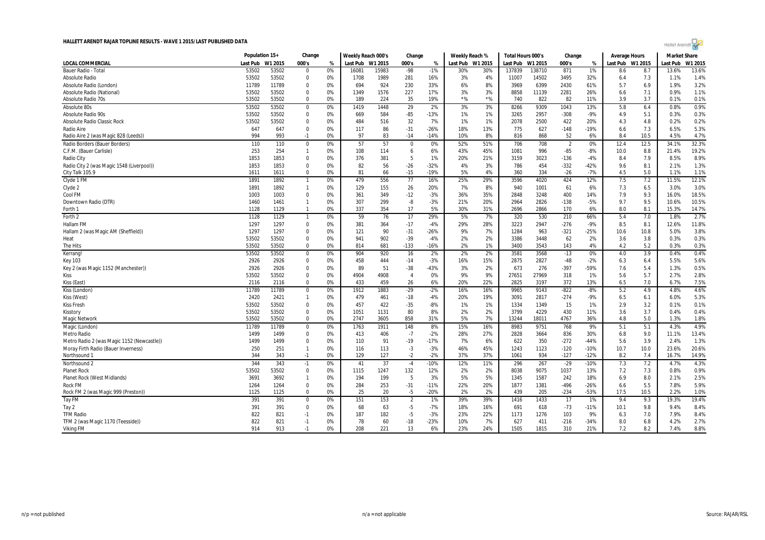

|                                                       | Population 15+ |            | Change         |          | Weekly Reach 000's |           | Change         |                  | Weekly Reach %   |           | Total Hours 000's |             | Change         |              | Average Hours    |            | <b>Market Share</b> |               |
|-------------------------------------------------------|----------------|------------|----------------|----------|--------------------|-----------|----------------|------------------|------------------|-----------|-------------------|-------------|----------------|--------------|------------------|------------|---------------------|---------------|
| <b>LOCAL COMMERCIAL</b>                               | Last Pub       | W1 2015    | 000's          | %        | Last Pub           | W1 2015   | 000's          | %                | Last Pub W1 2015 |           | Last Pub          | W1 2015     | 000's          | %            | Last Pub W1 2015 |            | Last Pub            | W1 2015       |
| Bauer Radio - Tota                                    | 53502          | 53502      | $\Omega$       | 0%       | 16081              | 15983     | -98            | $-1%$            | 30%              | 30%       | 137839            | 138710      | 871            | 1%           | 8.6              | 8.7        | 13.6%               | 13.6%         |
| <b>Absolute Radio</b>                                 | 53502          | 53502      | $\mathbf 0$    | 0%       | 1708               | 1989      | 281            | 16%              | 3%               | 4%        | 11007             | 14502       | 3495           | 32%          | 6.4              | 7.3        | 1.1%                | 1.4%          |
| Absolute Radio (London)                               | 11789          | 11789      | 0              | 0%       | 694                | 924       | 230            | 33%              | 6%               | 8%        | 3969              | 6399        | 2430           | 61%          | 5.7              | 6.9        | 1.9%                | 3.2%          |
| Absolute Radio (National)                             | 53502          | 53502      | 0              | 0%       | 1349               | 1576      | 227            | 17%              | 3%               | 3%        | 8858              | 11139       | 2281           | 26%          | 6.6              | 7.1        | 0.9%                | 1.1%          |
| Absolute Radio 70s                                    | 53502          | 53502      | $\Omega$       | 0%       | 189                | 224       | 35             | 19%              | $*$ %            | $*$ %     | 740               | 822         | 82             | 11%          | 3.9              | 3.7        | 0.1%                | 0.1%          |
| Absolute 80s                                          | 53502          | 53502      | 0              | 0%       | 1419               | 1448      | 29             | 2%               | 3%               | 3%        | 8266              | 9309        | 1043           | 13%          | 5.8              | 6.4        | 0.8%                | 0.9%          |
| Absolute Radio 90s                                    | 53502          | 53502      | 0              | 0%       | 669                | 584       | $-85$          | $-13%$           | 1%               | 1%        | 3265              | 2957        | $-308$         | $-9%$        | 4.9              | 5.1        | 0.3%                | 0.3%          |
| Absolute Radio Classic Rock                           | 53502          | 53502      | 0              | 0%       | 484                | 516       | 32             | 7%               | 1%               | 1%        | 2078              | 2500        | 422            | 20%          | 4.3              | 4.8        | 0.2%                | 0.2%          |
| Radio Aire                                            | 647            | 647        | $\Omega$       | 0%       | 117                | 86        | $-31$          | $-26%$           | 18%              | 13%       | 775               | 627         | $-148$         | $-19%$       | 6.6              | 7.3        | 6.5%                | 5.3%          |
| Radio Aire 2 (was Magic 828 (Leeds))                  | 994            | 993        | $-1$           | 0%       | 97                 | 83        | $-14$          | -14%             | 10%              | 8%        | 816               | 868         | 52             | 6%           | 8.4              | 10.5       | 4.5%                | 4.7%          |
| Radio Borders (Bauer Borders)                         | 110            | 110        | 0              | 0%       | 57                 | 57        | 0              | 0%               | 52%              | 51%       | 706               | 708         | $\overline{2}$ | 0%           | 12.4             | 12.5       | 34.1%               | 32.3%         |
| C.F.M. (Bauer Carlisle)                               | 253            | 254        | $\overline{1}$ | 0%       | 108                | 114       | 6              | 6%               | 43%              | 45%       | 1081              | 996         | $-85$          | $-8%$        | 10.0             | 8.8        | 21.4%               | 19.2%         |
| Radio City                                            | 1853           | 1853       | 0              | 0%       | 376                | 381       | 5              | 1%               | 20%              | 21%       | 3159              | 3023        | $-136$         | $-4%$        | 8.4              | 7.9        | 8.5%                | 8.9%          |
| Radio City 2 (was Magic 1548 (Liverpool))             | 1853           | 1853       | $\Omega$       | 0%       | 82                 | 56        | $-26$          | $-32%$           | 4%               | 3%        | 786               | 454         | $-332$         | $-42%$       | 9.6              | 8.1        | 2.1%                | 1.3%          |
| City Talk 105.9                                       | 1611           | 1611       | $\Omega$       | 0%       | 81                 | 66        | $-15$          | $-19%$           | 5%               | 4%        | 360               | 334         | $-26$          | $-7%$        | 4.5              | 5.0        | 1.1%                | 1.1%          |
| Clyde 1 FM                                            | 1891           | 1892       | -1             | 0%       | 479                | 556       | 77             | 16%              | 25%              | 29%       | 3596              | 4020        | 424            | 12%          | 7.5              | 7.2        | 11.5%               | 12.1%         |
| Clyde 2                                               | 1891           | 1892       | $\mathbf{1}$   | 0%       | 129                | 155       | 26             | 20%              | 7%               | 8%        | 940               | 1001        | 61             | 6%           | 7.3              | 6.5        | 3.0%                | 3.0%          |
| Cool FM                                               | 1003           | 1003       | $\Omega$       | 0%       | 361                | 349       | $-12$          | $-3%$            | 36%              | 35%       | 2848              | 3248        | 400            | 14%          | 7.9              | 9.3        | 16.0%               | 18.5%         |
| Downtown Radio (DTR)                                  | 1460           | 1461       | $\mathbf{1}$   | 0%       | 307                | 299       | -8             | $-3%$            | 21%              | 20%       | 2964              | 2826        | $-138$         | $-5%$        | 9.7              | 9.5        | 10.6%               | 10.5%         |
| Forth 1                                               | 1128           | 1129       | $\overline{1}$ | 0%       | 337                | 354       | 17             | 5%               | 30%              | 31%       | 2696              | 2866        | 170            | 6%           | 8.0              | 8.1        | 15.3%               | 14.7%         |
| Forth 2                                               | 1128           | 1129       | -1             | 0%       | 59                 | 76        | 17             | 29%              | 5%               | 7%        | 320               | 530         | 210            | 66%          | 5.4              | 7.0        | 1.8%                | 2.7%          |
| <b>Hallam FM</b>                                      | 1297           | 1297       | $\mathbf 0$    | 0%       | 381                | 364       | $-17$          | $-4%$            | 29%              | 28%       | 3223              | 2947        | $-276$         | $-9%$        | 8.5              | 8.1        | 12.6%               | 11.8%         |
| Hallam 2 (was Magic AM (Sheffield))                   | 1297           | 1297       | 0              | 0%       | 121                | 90        | $-31$          | -26%             | 9%               | 7%        | 1284              | 963         | $-321$         | $-25%$       | 10.6             | 10.8       | 5.0%                | 3.8%          |
| Heat                                                  | 53502          | 53502      | $\Omega$       | 0%       | 941                | 902       | $-39$          | $-4%$            | 2%               | 2%        | 3386              | 3448        | 62             | 2%           | 3.6              | 3.8        | 0.3%                | 0.3%          |
| The Hits                                              | 53502          | 53502      | $\mathbf 0$    | 0%       | 814                | 681       | $-133$         | -16%             | 2%               | 1%        | 3400              | 3543        | 143            | 4%           | 4.2              | 5.2        | 0.3%                | 0.3%          |
| Kerrang!                                              | 53502          | 53502      | 0              | 0%       | 904                | 920       | 16             | 2%               | 2%               | 2%        | 3581              | 3568        | $-13$          | 0%           | 4.0              | 3.9        | 0.4%                | 0.4%          |
| <b>Key 103</b>                                        | 2926           | 2926       | 0              | 0%       | 458                | 444       | $-14$          | $-3%$            | 16%              | 15%       | 2875              | 2827        | $-48$          | $-2%$        | 6.3              | 6.4        | 5.5%                | 5.6%          |
| Key 2 (was Magic 1152 (Manchester))                   | 2926           | 2926       | 0              | 0%       | 89                 | 51        | $-38$          | $-43%$           | 3%               | 2%        | 673               | 276         | $-397$         | -59%         | 7.6              | 5.4        | 1.3%                | 0.5%          |
| Kiss                                                  | 53502          | 53502      | $\Omega$       | 0%       | 4904               | 4908      | $\overline{4}$ | 0%               | 9%               | 9%        | 27651             | 27969       | 318            | 1%           | 5.6              | 5.7        | 2.7%                | 2.8%          |
| Kiss (East)                                           | 2116           | 2116       | $\Omega$       | 0%       | 433                | 459       | 26             | 6%               | 20%              | 22%       | 2825              | 3197        | 372            | 13%          | 6.5              | 7.0        | 6.7%                | 7.5%          |
| Kiss (London)                                         | 11789          | 11789      | $\mathbf 0$    | 0%       | 1912               | 1883      | $-29$          | $-2%$            | 16%              | 16%       | 9965              | 9143        | $-822$         | $-8%$        | 5.2              | 4.9        | 4.8%                | 4.6%          |
| Kiss (West)                                           | 2420           | 2421       | $\mathbf{1}$   | 0%       | 479                | 461       | $-18$          | $-4%$            | 20%              | 19%       | 3091              | 2817        | $-274$         | $-9%$        | 6.5              | 6.1        | 6.0%                | 5.3%          |
| <b>Kiss Fresh</b>                                     | 53502          | 53502      | 0              | 0%       | 457                | 422       | $-35$          | $-8%$            | 1%               | 1%        | 1334              | 1349        | 15             | 1%           | 2.9              | 3.2        | 0.1%                | 0.1%          |
| Kisstory                                              | 53502          | 53502      | 0              | 0%       | 1051               | 1131      | 80             | 8%               | 2%               | 2%        | 3799              | 4229        | 430            | 11%          | 3.6              | 3.7        | 0.4%                | 0.4%          |
| <b>Magic Network</b>                                  | 53502          | 53502      | $\Omega$       | 0%       | 2747               | 3605      | 858            | 31%              | 5%               | 7%        | 13244             | 18011       | 4767           | 36%          | 4.8              | 5.0        | 1.3%                | 1.8%          |
| Magic (London)                                        | 11789          | 11789      | 0              | 0%       | 1763               | 1911      | 148            | 8%               | 15%              | 16%       | 8983              | 9751        | 768            | 9%           | 5.1              | 5.1        | 4.3%                | 4.9%          |
| Metro Radio                                           | 1499           | 1499       | 0              | 0%       | 413                | 406       | $-7$           | $-2%$            | 28%              | 27%       | 2828              | 3664        | 836            | 30%          | 6.8              | 9.0        | 11.1%               | 13.4%         |
| Metro Radio 2 (was Magic 1152 (Newcastle))            | 1499           | 1499       | 0              | 0%       | 110                | 91        | $-19$          | $-17%$           | 7%               | 6%        | 622               | 350         | $-272$         | $-44%$       | 5.6              | 3.9        | 2.4%                | 1.3%          |
| Moray Firth Radio (Bauer Inverness)                   | 250            | 251        | $\mathbf{1}$   | 0%       | 116                | 113       | $-3$           | $-3%$            | 46%              | 45%       | 1243              | 1123        | $-120$         | $-10%$       | 10.7             | 10.0       | 23.6%               | 20.6%         |
| Northsound 1                                          | 344            | 343        | $-1$           | 0%       | 129                | 127       | $-2$           | $-2%$            | 37%              | 37%       | 1061              | 934         | $-127$         | $-12%$       | 8.2              | 7.4        | 16.7%               | 14.9%         |
| Northsound 2                                          | 344            | 343        | $-1$           | 0%       | 41                 | 37        | $-4$           | $-10%$           | 12%              | 11%       | 296               | 267         | $-29$          | $-10%$       | 7.3              | 7.2        | 4.7%                | 4.3%          |
| <b>Planet Rock</b>                                    | 53502          | 53502      | 0              | 0%       | 1115               | 1247      | 132            | 12%              | 2%               | 2%        | 8038              | 9075        | 1037           | 13%          | 7.2              | 7.3        | 0.8%                | 0.9%          |
| Planet Rock (West Midlands)                           | 3691           | 3692       | $\mathbf{1}$   | 0%       | 194                | 199       | 5              | 3%               | 5%               | 5%        | 1345              | 1587        | 242            | 18%          | 6.9              | 8.0        | 2.1%                | 2.5%          |
| <b>Rock FM</b>                                        | 1264           | 1264       | $\mathbf 0$    | 0%<br>0% | 284                | 253       | $-31$          | $-11%$<br>$-20%$ | 22%              | 20%<br>2% | 1877<br>439       | 1381        | $-496$         | $-26%$       | 6.6              | 5.5        | 7.8%                | 5.9%          |
| Rock FM 2 (was Magic 999 (Preston))                   | 1125           | 1125       | $\mathbf 0$    |          | 25                 | 20        | $-5$           |                  | 2%               |           |                   | 205         | $-234$         | $-53%$       | 17.5             | 10.5       | 2.2%                | 1.0%<br>19.4% |
| <b>Tay FM</b>                                         | 391            | 391        | $\bf{0}$       | 0%       | 151                | 153       | $\overline{2}$ | 1%               | 39%              | 39%       | 1416              | 1433        | 17             | 1%           | 9.4              | 9.3        | 19.3%               |               |
| Tay 2                                                 | 391            | 391        | $\Omega$       | 0%       | 68                 | 63        | $-5$           | $-7%$            | 18%              | 16%       | 691               | 618         | $-73$          | $-11%$       | 10.1             | 9.8        | 9.4%                | 8.4%          |
| <b>TFM Radio</b><br>TFM 2 (was Magic 1170 (Teesside)) | 822<br>822     | 821<br>821 | $-1$<br>$-1$   | 0%<br>0% | 187<br>78          | 182<br>60 | -5<br>$-18$    | $-3%$<br>$-23%$  | 23%<br>10%       | 22%<br>7% | 1173<br>627       | 1276<br>411 | 103<br>$-216$  | 9%<br>$-34%$ | 6.3<br>8.0       | 7.0<br>6.8 | 7.9%<br>4.2%        | 8.4%<br>2.7%  |
| <b>Viking FM</b>                                      | 914            | 913        | $-1$           | 0%       | 208                | 221       | 13             | 6%               | 23%              | 24%       | 1505              | 1815        | 310            | 21%          | 7.2              | 8.2        | 7.4%                | 8.8%          |
|                                                       |                |            |                |          |                    |           |                |                  |                  |           |                   |             |                |              |                  |            |                     |               |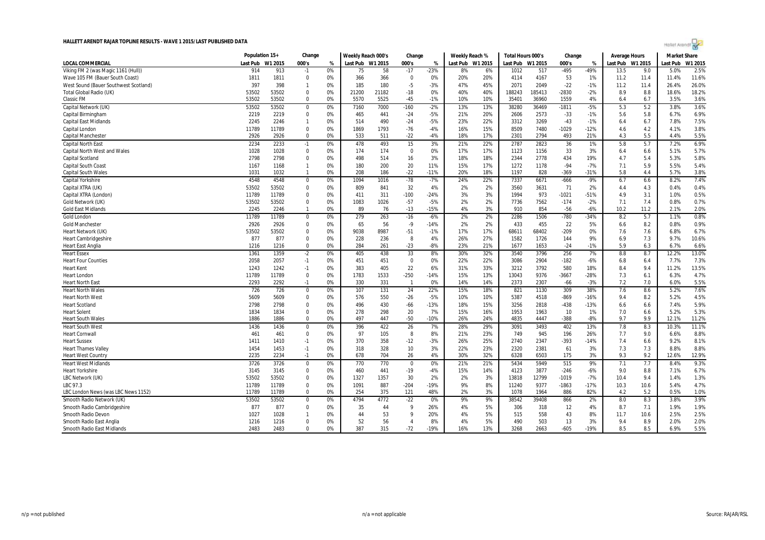

|                                       | Population 15+ |         | Change       |    | Weekly Reach 000's |         | Change          |        | Weekly Reach % |         | Total Hours 000's |         | Change  |        | Average Hours |         | <b>Market Share</b> |         |
|---------------------------------------|----------------|---------|--------------|----|--------------------|---------|-----------------|--------|----------------|---------|-------------------|---------|---------|--------|---------------|---------|---------------------|---------|
| <b>LOCAL COMMERCIAL</b>               | Last Pub       | W1 2015 | 000's        | %  | Last Pub           | W1 2015 | 000's           | %      | Last Pub       | W1 2015 | Last Pub          | W1 2015 | 000's   | %      | Last Pub      | W1 2015 | Last Pub            | W1 2015 |
| Viking FM 2 (was Magic 1161 (Hull))   | 914            | 913     | $-1$         | 0% | 75                 | 58      | $-17$           | $-23%$ | 8%             | 6%      | 1012              | 517     | $-495$  | $-49%$ | 13.5          | 9.0     | 5.0%                | 2.5%    |
| Wave 105 FM (Bauer South Coast)       | 1811           | 1811    | $\mathbf 0$  | 0% | 366                | 366     | 0               | 0%     | 20%            | 20%     | 4114              | 4167    | 53      | 1%     | 11.2          | 11.4    | 11.4%               | 11.6%   |
| West Sound (Bauer Southwest Scotland) | 397            | 398     | $\mathbf{1}$ | 0% | 185                | 180     | $-5$            | $-3%$  | 47%            | 45%     | 2071              | 2049    | $-22$   | $-1%$  | 11.2          | 11.4    | 26.4%               | 26.0%   |
| <b>Total Global Radio (UK)</b>        | 53502          | 53502   | $\Omega$     | 0% | 21200              | 21182   | $-18$           | 0%     | 40%            | 40%     | 188243            | 185413  | $-2830$ | $-2%$  | 8.9           | 8.8     | 18.6%               | 18.2%   |
| <b>Classic FM</b>                     | 53502          | 53502   | $\Omega$     | 0% | 5570               | 5525    | $-45$           | $-1%$  | 10%            | 10%     | 35401             | 36960   | 1559    | 4%     | 6.4           | 6.7     | 3.5%                | 3.6%    |
| Capital Network (UK)                  | 53502          | 53502   | $\mathbf{0}$ | 0% | 7160               | 7000    | $-160$          | $-2%$  | 13%            | 13%     | 38280             | 36469   | $-1811$ | $-5%$  | 5.3           | 5.2     | 3.8%                | 3.6%    |
| Capital Birmingham                    | 2219           | 2219    | $\mathbf 0$  | 0% | 465                | 441     | $-24$           | $-5%$  | 21%            | 20%     | 2606              | 2573    | $-33$   | $-1%$  | 5.6           | 5.8     | 6.7%                | 6.9%    |
| <b>Capital East Midlands</b>          | 2245           | 2246    | $\mathbf{1}$ | 0% | 514                | 490     | $-24$           | $-5%$  | 23%            | 22%     | 3312              | 3269    | $-43$   | $-1%$  | 6.4           | 6.7     | 7.8%                | 7.5%    |
| Capital London                        | 11789          | 11789   | 0            | 0% | 1869               | 1793    | -76             | $-4%$  | 16%            | 15%     | 8509              | 7480    | $-1029$ | $-12%$ | 4.6           | 4.2     | 4.1%                | 3.8%    |
| <b>Capital Manchester</b>             | 2926           | 2926    | $\mathbf 0$  | 0% | 533                | 511     | $-22$           | $-4%$  | 18%            | 17%     | 2301              | 2794    | 493     | 21%    | 4.3           | 5.5     | 4.4%                | 5.5%    |
| <b>Capital North East</b>             | 2234           | 2233    | $-1$         | 0% | 478                | 493     | 15              | 3%     | 21%            | 22%     | 2787              | 2823    | 36      | 1%     | 5.8           | 5.7     | 7.2%                | 6.9%    |
| <b>Capital North West and Wales</b>   | 1028           | 1028    | $\mathbf 0$  | 0% | 174                | 174     | $\mathbf 0$     | 0%     | 17%            | 17%     | 1123              | 1156    | 33      | 3%     | 6.4           | 6.6     | 5.1%                | 5.7%    |
| Capital Scotland                      | 2798           | 2798    | 0            | 0% | 498                | 514     | 16              | 3%     | 18%            | 18%     | 2344              | 2778    | 434     | 19%    | 4.7           | 5.4     | 5.3%                | 5.8%    |
| Capital South Coast                   | 1167           | 1168    | 1            | 0% | 180                | 200     | 20              | 11%    | 15%            | 17%     | 1272              | 1178    | $-94$   | $-7%$  | 7.1           | 5.9     | 5.5%                | 5.4%    |
| <b>Capital South Wales</b>            | 1031           | 1032    | -1           | 0% | 208                | 186     | $-22$           | $-11%$ | 20%            | 18%     | 1197              | 828     | $-369$  | $-31%$ | 5.8           | 4.4     | 5.7%                | 3.8%    |
| <b>Capital Yorkshire</b>              | 4548           | 4548    | $\Omega$     | 0% | 1094               | 1016    | $-78$           | $-7%$  | 24%            | 22%     | 7337              | 6671    | $-666$  | $-9%$  | 6.7           | 6.6     | 8.2%                | 7.4%    |
| Capital XTRA (UK)                     | 53502          | 53502   | 0            | 0% | 809                | 841     | 32              | 4%     | 2%             | 2%      | 3560              | 3631    | 71      | 2%     | 4.4           | 4.3     | 0.4%                | 0.4%    |
| Capital XTRA (London)                 | 11789          | 11789   | 0            | 0% | 411                | 311     | $-100$          | $-24%$ | 3%             | 3%      | 1994              | 973     | $-1021$ | $-51%$ | 4.9           | 3.1     | 1.0%                | 0.5%    |
| Gold Network (UK)                     | 53502          | 53502   | $\Omega$     | 0% | 1083               | 1026    | $-57$           | $-5%$  | 2%             | 2%      | 7736              | 7562    | $-174$  | $-2%$  | 7.1           | 7.4     | 0.8%                | 0.7%    |
| <b>Gold East Midlands</b>             | 2245           | 2246    | $\mathbf{1}$ | 0% | 89                 | 76      | $-13$           | $-15%$ | 4%             | 3%      | 910               | 854     | $-56$   | $-6%$  | 10.2          | 11.2    | 2.1%                | 2.0%    |
| Gold London                           | 11789          | 11789   | $\mathbf 0$  | 0% | 279                | 263     | $-16$           | $-6%$  | 2%             | 2%      | 2286              | 1506    | $-780$  | $-34%$ | 8.2           | 5.7     | 1.1%                | 0.8%    |
| <b>Gold Manchester</b>                | 2926           | 2926    | $\mathbf 0$  | 0% | 65                 | 56      | $-9$            | $-14%$ | 2%             | 2%      | 433               | 455     | 22      | 5%     | 6.6           | 8.2     | 0.8%                | 0.9%    |
| Heart Network (UK)                    | 53502          | 53502   | 0            | 0% | 9038               | 8987    | $-51$           | $-1%$  | 17%            | 17%     | 68611             | 68402   | $-209$  | 0%     | 7.6           | 7.6     | 6.8%                | 6.7%    |
| <b>Heart Cambridgeshire</b>           | 877            | 877     | $\Omega$     | 0% | 228                | 236     | 8               | 4%     | 26%            | 27%     | 1582              | 1726    | 144     | 9%     | 6.9           | 7.3     | 9.7%                | 10.6%   |
| <b>Heart East Anglia</b>              | 1216           | 1216    | 0            | 0% | 284                | 261     | $-23$           | $-8%$  | 23%            | 21%     | 1677              | 1653    | $-24$   | $-1%$  | 5.9           | 6.3     | 6.7%                | 6.6%    |
| <b>Heart Essex</b>                    | 1361           | 1359    | $-2$         | 0% | 405                | 438     | 33              | 8%     | 30%            | 32%     | 3540              | 3796    | 256     | 7%     | 8.8           | 8.7     | 12.2%               | 13.0%   |
| <b>Heart Four Counties</b>            | 2058           | 2057    | $-1$         | 0% | 451                | 451     | 0               | 0%     | 22%            | 22%     | 3086              | 2904    | $-182$  | $-6%$  | 6.8           | 6.4     | 7.7%                | 7.3%    |
| <b>Heart Kent</b>                     | 1243           | 1242    | $-1$         | 0% | 383                | 405     | 22              | 6%     | 31%            | 33%     | 3212              | 3792    | 580     | 18%    | 8.4           | 9.4     | 11.2%               | 13.5%   |
| <b>Heart London</b>                   | 11789          | 11789   | 0            | 0% | 1783               | 1533    | $-250$          | $-14%$ | 15%            | 13%     | 13043             | 9376    | $-3667$ | $-28%$ | 7.3           | 6.1     | 6.3%                | 4.7%    |
| <b>Heart North East</b>               | 2293           | 2292    | $-1$         | 0% | 330                | 331     | - 1             | 0%     | 14%            | 14%     | 2373              | 2307    | -66     | $-3%$  | 7.2           | 7.0     | 6.0%                | 5.5%    |
| <b>Heart North Wales</b>              | 726            | 726     | $\mathbf 0$  | 0% | 107                | 131     | 24              | 22%    | 15%            | 18%     | 821               | 1130    | 309     | 38%    | 7.6           | 8.6     | 5.2%                | 7.6%    |
| <b>Heart North West</b>               | 5609           | 5609    | $\Omega$     | 0% | 576                | 550     | $-26$           | $-5%$  | 10%            | 10%     | 5387              | 4518    | $-869$  | $-16%$ | 9.4           | 8.2     | 5.2%                | 4.5%    |
| <b>Heart Scotland</b>                 | 2798           | 2798    | $\mathbf 0$  | 0% | 496                | 430     | $-66$           | $-13%$ | 18%            | 15%     | 3256              | 2818    | $-438$  | $-13%$ | 6.6           | 6.6     | 7.4%                | 5.9%    |
| <b>Heart Solent</b>                   | 1834           | 1834    | 0            | 0% | 278                | 298     | 20              | 7%     | 15%            | 16%     | 1953              | 1963    | 10      | 1%     | 7.0           | 6.6     | 5.2%                | 5.3%    |
| <b>Heart South Wales</b>              | 1886           | 1886    | $\Omega$     | 0% | 497                | 447     | $-50$           | $-10%$ | 26%            | 24%     | 4835              | 4447    | $-388$  | $-8%$  | 9.7           | 9.9     | 12.1%               | 11.2%   |
| <b>Heart South West</b>               | 1436           | 1436    | 0            | 0% | 396                | 422     | 26              | 7%     | 28%            | 29%     | 3091              | 3493    | 402     | 13%    | 7.8           | 8.3     | 10.3%               | 11.1%   |
| <b>Heart Cornwal</b>                  | 461            | 461     | $\mathbf 0$  | 0% | 97                 | 105     | 8               | 8%     | 21%            | 23%     | 749               | 945     | 196     | 26%    | 7.7           | 9.0     | 6.6%                | 8.8%    |
| <b>Heart Sussex</b>                   | 1411           | 1410    | $-1$         | 0% | 370                | 358     | $-12$           | $-3%$  | 26%            | 25%     | 2740              | 2347    | $-393$  | $-14%$ | 7.4           | 6.6     | 9.2%                | 8.1%    |
| <b>Heart Thames Valley</b>            | 1454           | 1453    | $-1$         | 0% | 318                | 328     | 10 <sup>°</sup> | 3%     | 22%            | 23%     | 2320              | 2381    | 61      | 3%     | 7.3           | 7.3     | 8.8%                | 8.8%    |
| <b>Heart West Country</b>             | 2235           | 2234    | $-1$         | 0% | 678                | 704     | 26              | 4%     | 30%            | 32%     | 6328              | 6503    | 175     | 3%     | 9.3           | 9.2     | 12.6%               | 12.9%   |
| <b>Heart West Midlands</b>            | 3726           | 3726    | $\mathbf 0$  | 0% | 770                | 770     | $\mathbf{0}$    | 0%     | 21%            | 21%     | 5434              | 5949    | 515     | 9%     | 7.1           | 7.7     | 8.4%                | 9.3%    |
| <b>Heart Yorkshire</b>                | 3145           | 3145    | 0            | 0% | 460                | 441     | $-19$           | $-4%$  | 15%            | 14%     | 4123              | 3877    | $-246$  | $-6%$  | 9.0           | 8.8     | 7.1%                | 6.7%    |
| LBC Network (UK)                      | 53502          | 53502   | 0            | 0% | 1327               | 1357    | 30              | 2%     | 2%             | 3%      | 13818             | 12799   | $-1019$ | $-7%$  | 10.4          | 9.4     | 1.4%                | 1.3%    |
| LBC 97.3                              | 11789          | 11789   | $\Omega$     | 0% | 1091               | 887     | $-204$          | $-19%$ | 9%             | 8%      | 11240             | 9377    | $-1863$ | $-17%$ | 10.3          | 10.6    | 5.4%                | 4.7%    |
| LBC London News (was LBC News 1152)   | 11789          | 11789   | $\Omega$     | 0% | 254                | 375     | 121             | 48%    | 2%             | 3%      | 1078              | 1964    | 886     | 82%    | 4.2           | 5.2     | 0.5%                | 1.0%    |
| Smooth Radio Network (UK)             | 53502          | 53502   | 0            | 0% | 4794               | 4772    | $-22$           | 0%     | 9%             | 9%      | 38542             | 39408   | 866     | 2%     | 8.0           | 8.3     | 3.8%                | 3.9%    |
| Smooth Radio Cambridgeshire           | 877            | 877     | $\Omega$     | 0% | 35                 | 44      | 9               | 26%    | 4%             | 5%      | 306               | 318     | 12      | 4%     | 8.7           | 7.1     | 1.9%                | 1.9%    |
| Smooth Radio Devon                    | 1027           | 1028    | 1            | 0% | 44                 | 53      | 9               | 20%    | 4%             | 5%      | 515               | 558     | 43      | 8%     | 11.7          | 10.6    | 2.5%                | 2.5%    |
| Smooth Radio East Anglia              | 1216           | 1216    | $\Omega$     | 0% | 52                 | 56      | 4               | 8%     | 4%             | 5%      | 490               | 503     | 13      | 3%     | 9.4           | 8.9     | 2.0%                | 2.0%    |
| Smooth Radio East Midlands            | 2483           | 2483    | $\Omega$     | 0% | 387                | 315     | $-72$           | $-19%$ | 16%            | 13%     | 3268              | 2663    | $-605$  | $-19%$ | 8.5           | 8.5     | 6.9%                | 5.5%    |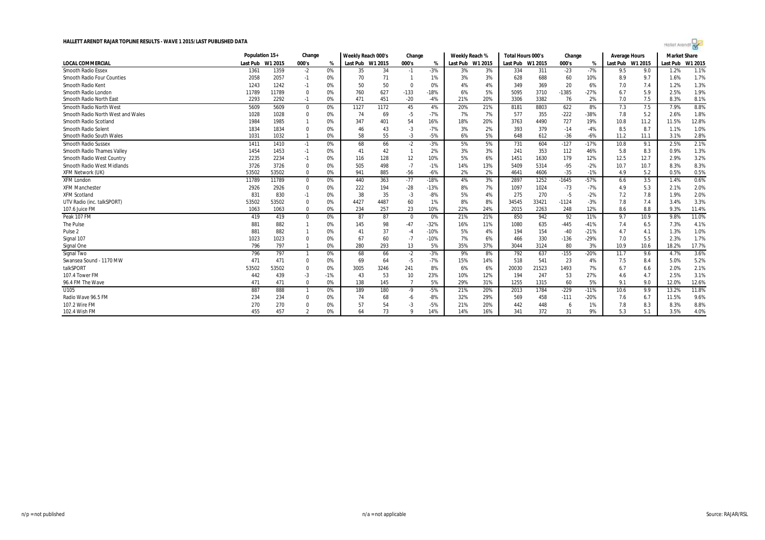

|                                   | Population 15+ |         | Change                  |       | Weekly Reach 000's |      | Change         |        | Weekly Reach % |                  | Total Hours 000's |         | Change  |        | <b>Average Hours</b> |         | <b>Market Share</b> |         |
|-----------------------------------|----------------|---------|-------------------------|-------|--------------------|------|----------------|--------|----------------|------------------|-------------------|---------|---------|--------|----------------------|---------|---------------------|---------|
| <b>LOCAL COMMERCIAL</b>           | Last Pub       | W1 2015 | 000's                   | %     | Last Pub W1 2015   |      | 000's          | $\%$   |                | Last Pub W1 2015 | Last Pub          | W1 2015 | 000's   | %      | Last Pub             | W1 2015 | Last Pub            | W1 2015 |
| Smooth Radio Essex                | 1361           | 1359    | $-2$                    | 0%    | 35                 | 34   | $-1$           | $-3%$  | 3%             | 3%               | 334               | 311     | $-23$   | $-7%$  | 9.5                  | 9.0     | 1.2%                | 1.1%    |
| <b>Smooth Radio Four Counties</b> | 2058           | 2057    | $-1$                    | 0%    | 70                 | 71   | -1             | 1%     | 3%             | 3%               | 628               | 688     | 60      | 10%    | 8.9                  | 9.7     | 1.6%                | 1.7%    |
| Smooth Radio Kent                 | 1243           | 1242    | $-1$                    | 0%    | 50                 | 50   | $\mathbf 0$    | 0%     | 4%             | 4%               | 349               | 369     | 20      | 6%     | 7.0                  | 7.4     | 1.2%                | 1.3%    |
| Smooth Radio London               | 11789          | 11789   | $\mathbf 0$             | 0%    | 760                | 627  | $-133$         | $-18%$ | 6%             | 5%               | 5095              | 3710    | $-1385$ | $-27%$ | 6.7                  | 5.9     | 2.5%                | 1.9%    |
| Smooth Radio North East           | 2293           | 2292    | $-1$                    | 0%    | 471                | 451  | $-20$          | $-4%$  | 21%            | 20%              | 3306              | 3382    | 76      | 2%     | 7.0                  | 7.5     | 8.3%                | 8.1%    |
| <b>Smooth Radio North West</b>    | 5609           | 5609    | $\mathbf{0}$            | 0%    | 1127               | 1172 | 45             | 4%     | 20%            | 21%              | 8181              | 8803    | 622     | 8%     | 7.3                  | 7.5     | 7.9%                | 8.8%    |
| Smooth Radio North West and Wales | 1028           | 1028    | 0                       | 0%    | 74                 | 69   | -5             | $-7%$  | 7%             | 7%               | 577               | 355     | $-222$  | $-38%$ | 7.8                  | 5.2     | 2.6%                | 1.8%    |
| Smooth Radio Scotland             | 1984           | 1985    |                         | 0%    | 347                | 401  | 54             | 16%    | 18%            | 20%              | 3763              | 4490    | 727     | 19%    | 10.8                 | 11.2    | 11.5%               | 12.8%   |
| Smooth Radio Solent               | 1834           | 1834    | $\Omega$                | 0%    | 46                 | 43   | $-3$           | $-7%$  | 3%             | 2%               | 393               | 379     | $-14$   | $-4%$  | 8.5                  | 8.7     | 1.1%                | 1.0%    |
| Smooth Radio South Wales          | 1031           | 1032    |                         | 0%    | 58                 | 55   | $-3$           | $-5%$  | 6%             | 5%               | 648               | 612     | $-36$   | $-6%$  | 11.2                 | 11.1    | 3.1%                | 2.8%    |
| <b>Smooth Radio Sussex</b>        | 1411           | 1410    | $-1$                    | 0%    | 68                 | 66   | $-2$           | $-3%$  | 5%             | 5%               | 731               | 604     | $-127$  | $-17%$ | 10.8                 | 9.1     | 2.5%                | 2.1%    |
| <b>Smooth Radio Thames Valley</b> | 1454           | 1453    | $-1$                    | 0%    | 41                 | 42   | $\mathbf{1}$   | 2%     | 3%             | 3%               | 241               | 353     | 112     | 46%    | 5.8                  | 8.3     | 0.9%                | 1.3%    |
| Smooth Radio West Country         | 2235           | 2234    | $-1$                    | 0%    | 116                | 128  | 12             | 10%    | 5%             | 6%               | 1451              | 1630    | 179     | 12%    | 12.5                 | 12.7    | 2.9%                | 3.2%    |
| <b>Smooth Radio West Midlands</b> | 3726           | 3726    | $\mathbf 0$             | 0%    | 505                | 498  | $-7$           | $-1%$  | 14%            | 13%              | 5409              | 5314    | $-95$   | $-2%$  | 10.7                 | 10.7    | 8.3%                | 8.3%    |
| XFM Network (UK)                  | 53502          | 53502   | $\Omega$                | 0%    | 941                | 885  | $-56$          | $-6%$  | 2%             | 2%               | 4641              | 4606    | $-35$   | $-1%$  | 4.9                  | 5.2     | 0.5%                | 0.5%    |
| <b>XFM London</b>                 | 11789          | 11789   | $\mathbf 0$             | 0%    | 440                | 363  | $-77$          | $-18%$ | 4%             | 3%               | 2897              | 1252    | $-1645$ | $-57%$ | 6.6                  | 3.5     | 1.4%                | 0.6%    |
| <b>XFM Manchester</b>             | 2926           | 2926    | $\mathbf 0$             | 0%    | 222                | 194  | $-28$          | $-13%$ | 8%             | 7%               | 1097              | 1024    | $-73$   | $-7%$  | 4.9                  | 5.3     | 2.1%                | 2.0%    |
| <b>XFM Scotland</b>               | 831            | 830     | $-1$                    | 0%    | 38                 | 35   | $-3$           | $-8%$  | 5%             | 4%               | 275               | 270     | -5      | $-2%$  | 7.2                  | 7.8     | 1.9%                | 2.0%    |
| UTV Radio (inc. talkSPORT)        | 53502          | 53502   | $\Omega$                | 0%    | 4427               | 4487 | 60             | 1%     | 8%             | 8%               | 34545             | 33421   | $-1124$ | $-3%$  | 7.8                  | 7.4     | 3.4%                | 3.3%    |
| 107.6 Juice FM                    | 1063           | 1063    | $\mathbf 0$             | 0%    | 234                | 257  | 23             | 10%    | 22%            | 24%              | 2015              | 2263    | 248     | 12%    | 8.6                  | 8.8     | 9.3%                | 11.4%   |
| Peak 107 FM                       | 419            | 419     | $\mathbf 0$             | 0%    | 87                 | 87   | 0              | 0%     | 21%            | 21%              | 850               | 942     | 92      | 11%    | 9.7                  | 10.9    | 9.8%                | 11.0%   |
| The Pulse                         | 881            | 882     |                         | 0%    | 145                | 98   | $-47$          | $-32%$ | 16%            | 11%              | 1080              | 635     | $-445$  | $-41%$ | 7.4                  | 6.5     | 7.3%                | 4.1%    |
| Pulse <sub>2</sub>                | 881            | 882     |                         | 0%    | 4 <sup>1</sup>     | 37   | $-4$           | $-10%$ | 5%             | 4%               | 194               | 154     | $-40$   | $-21%$ | 4.7                  | 4.1     | 1.3%                | 1.0%    |
| Signal 107                        | 1023           | 1023    | $\Omega$                | 0%    | 67                 | 60   | $-7$           | $-10%$ | 7%             | 6%               | 466               | 330     | $-136$  | $-29%$ | 7.0                  | 5.5     | 2.3%                | 1.7%    |
| Signal One                        | 796            | 797     |                         | 0%    | 280                | 293  | 13             | 5%     | 35%            | 37%              | 3044              | 3124    | 80      | 3%     | 10.9                 | 10.6    | 18.2%               | 17.7%   |
| Signal Two                        | 796            | 797     | $\mathbf{1}$            | 0%    | 68                 | 66   | $-2$           | $-3%$  | 9%             | 8%               | 792               | 637     | $-155$  | $-20%$ | 11.7                 | 9.6     | 4.7%                | 3.6%    |
| Swansea Sound - 1170 MW           | 471            | 471     | $\Omega$                | 0%    | 69                 | 64   | -5             | $-7%$  | 15%            | 14%              | 518               | 541     | 23      | 4%     | 7.5                  | 8.4     | 5.0%                | 5.2%    |
| talkSPORT                         | 53502          | 53502   | 0                       | 0%    | 3005               | 3246 | 241            | 8%     | 6%             | 6%               | 20030             | 21523   | 1493    | 7%     | 6.7                  | 6.6     | 2.0%                | 2.1%    |
| 107.4 Tower FM                    | 442            | 439     | $-3$                    | $-1%$ | 43                 | 53   | 10             | 23%    | 10%            | 12%              | 194               | 247     | 53      | 27%    | 4.6                  | 4.7     | 2.5%                | 3.1%    |
| 96.4 FM The Wave                  | 471            | 471     | $^{\circ}$              | 0%    | 138                | 145  | $\overline{7}$ | 5%     | 29%            | 31%              | 1255              | 1315    | 60      | 5%     | 9.1                  | 9.0     | 12.0%               | 12.6%   |
| U105                              | 887            | 888     | $\mathbf{1}$            | 0%    | 189                | 180  | -9             | $-5%$  | 21%            | 20%              | 2013              | 1784    | $-229$  | $-11%$ | 10.6                 | 9.9     | 13.2%               | 11.8%   |
| Radio Wave 96.5 FM                | 234            | 234     |                         | 0%    | 74                 | 68   | -6             | $-8%$  | 32%            | 29%              | 569               | 458     | $-111$  | $-20%$ | 7.6                  | 6.7     | 11.5%               | 9.6%    |
| 107.2 Wire FM                     | 270            | 270     |                         | 0%    | 57                 | 54   | -3             | $-5%$  | 21%            | 20%              | 442               | 448     | -6      | 1%     | 7.8                  | 8.3     | 8.3%                | 8.8%    |
| 102.4 Wish FM                     | 455            | 457     | $\overline{\mathbf{c}}$ | 0%    | 64                 | 73   | $\mathbf Q$    | 14%    | 14%            | 16%              | 341               | 372     | 31      | 9%     | 5.3                  | 5.1     | 3.5%                | 4.0%    |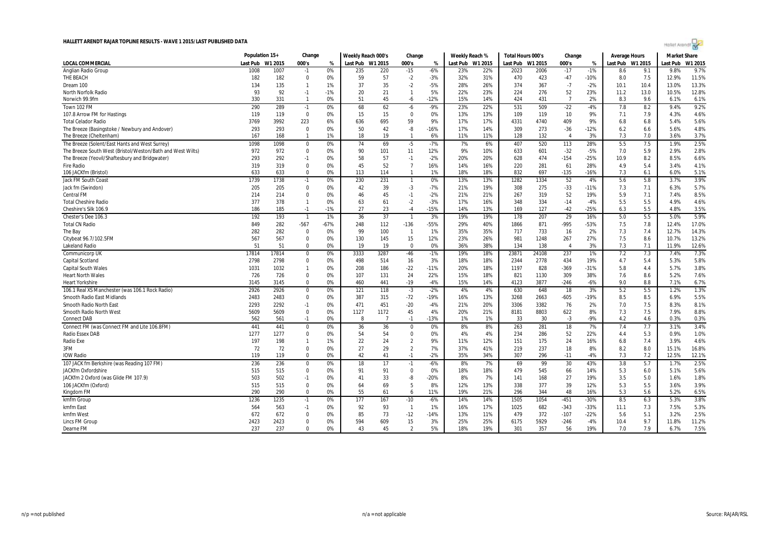

|                                                            | Population 15+ |         | Change         |        | Weekly Reach 000's |                | Change         |        | Weekly Reach % |                  | Total Hours 000's |         | Change         |        | Average Hours |         | <b>Market Share</b> |         |
|------------------------------------------------------------|----------------|---------|----------------|--------|--------------------|----------------|----------------|--------|----------------|------------------|-------------------|---------|----------------|--------|---------------|---------|---------------------|---------|
| <b>LOCAL COMMERCIAL</b>                                    | Last Pub       | W1 2015 | 000's          | %      | Last Pub W1 2015   |                | 000's          | %      |                | Last Pub W1 2015 | Last Pub          | W1 2015 | 000's          | %      | Last Pub      | W1 2015 | Last Pub            | W1 2015 |
| Anglian Radio Group                                        | 1008           | 1007    | $-1$           | 0%     | 235                | 220            | $-15$          | $-6%$  | 23%            | 22%              | 2023              | 2006    | $-17$          | $-1%$  | 8.6           | 9.1     | 9.8%                | 9.7%    |
| THE BEACH                                                  | 182            | 182     | $\mathbf 0$    | 0%     | 59                 | 57             | $-2$           | $-3%$  | 32%            | 31%              | 470               | 423     | $-47$          | $-10%$ | 8.0           | 7.5     | 12.9%               | 11.5%   |
| Dream 100                                                  | 134            | 135     | $\mathbf{1}$   | 1%     | 37                 | 35             | $-2$           | $-5%$  | 28%            | 26%              | 374               | 367     | $-7$           | $-2%$  | 10.1          | 10.4    | 13.0%               | 13.3%   |
| <b>North Norfolk Radio</b>                                 | 93             | 92      | $-1$           | $-1%$  | 20                 | 21             | $\mathbf{1}$   | 5%     | 22%            | 23%              | 224               | 276     | 52             | 23%    | 11.2          | 13.0    | 10.5%               | 12.8%   |
| Norwich 99.9fm                                             | 330            | 331     | $\overline{1}$ | 0%     | 51                 | 45             | -6             | $-12%$ | 15%            | 14%              | 424               | 431     | $\overline{7}$ | 2%     | 8.3           | 9.6     | 6.1%                | 6.1%    |
| Town 102 FM                                                | 290            | 289     | $-1$           | 0%     | 68                 | 62             | $-6$           | $-9%$  | 23%            | 22%              | 531               | 509     | $-22$          | $-4%$  | 7.8           | 8.2     | 9.4%                | 9.2%    |
| 107.8 Arrow FM for Hastings                                | 119            | 119     | $\mathbf 0$    | 0%     | 15                 | 15             | $\mathbf 0$    | 0%     | 13%            | 13%              | 109               | 119     | 10             | 9%     | 7.1           | 7.9     | 4.3%                | 4.6%    |
| <b>Total Celador Radio</b>                                 | 3769           | 3992    | 223            | 6%     | 636                | 695            | 59             | 9%     | 17%            | 17%              | 4331              | 4740    | 409            | 9%     | 6.8           | 6.8     | 5.4%                | 5.6%    |
| The Breeze (Basingstoke / Newbury and Andover)             | 293            | 293     | 0              | 0%     | 50                 | 42             | -8             | -16%   | 17%            | 14%              | 309               | 273     | $-36$          | $-12%$ | 6.2           | 6.6     | 5.6%                | 4.8%    |
| The Breeze (Cheltenham)                                    | 167            | 168     | $\overline{1}$ | 1%     | 18                 | 19             | $\overline{1}$ | 6%     | 11%            | 11%              | 128               | 132     | $\overline{4}$ | 3%     | 7.3           | 7.0     | 3.6%                | 3.7%    |
| The Breeze (Solent/East Hants and West Surrey)             | 1098           | 1098    | 0              | 0%     | 74                 | 69             | $-5$           | $-7%$  | 7%             | 6%               | 407               | 520     | 113            | 28%    | 5.5           | 7.5     | 1.9%                | 2.5%    |
| The Breeze South West (Bristol/Weston/Bath and West Wilts) | 972            | 972     | $\mathbf 0$    | 0%     | 90                 | 101            | 11             | 12%    | 9%             | 10%              | 633               | 601     | $-32$          | $-5%$  | 7.0           | 5.9     | 2.9%                | 2.8%    |
| The Breeze (Yeovil/Shaftesbury and Bridgwater)             | 293            | 292     | $-1$           | 0%     | 58                 | 57             | $-1$           | $-2%$  | 20%            | 20%              | 628               | 474     | $-154$         | $-25%$ | 10.9          | 8.2     | 8.5%                | 6.6%    |
| <b>Fire Radio</b>                                          | 319            | 319     | $\Omega$       | 0%     | 45                 | 52             | $\overline{7}$ | 16%    | 14%            | 16%              | 220               | 281     | 61             | 28%    | 4.9           | 5.4     | 3.4%                | 4.1%    |
| 106 JACKfm (Bristol)                                       | 633            | 633     | $\mathbf 0$    | 0%     | 113                | 114            | $\mathbf{1}$   | 1%     | 18%            | 18%              | 832               | 697     | $-135$         | $-16%$ | 7.3           | 6.1     | 6.0%                | 5.1%    |
| <b>Jack FM South Coast</b>                                 | 1739           | 1738    | $-1$           | 0%     | 230                | 231            | $\overline{1}$ | 0%     | 13%            | 13%              | 1282              | 1334    | 52             | 4%     | 5.6           | 5.8     | 3.7%                | 3.9%    |
| Jack fm (Swindon)                                          | 205            | 205     | 0              | 0%     | 42                 | 39             | -3             | $-7%$  | 21%            | 19%              | 308               | 275     | $-33$          | $-11%$ | 7.3           | 7.1     | 6.3%                | 5.7%    |
| Central FM                                                 | 214            | 214     | $\Omega$       | 0%     | 46                 | 45             | $-1$           | $-2%$  | 21%            | 21%              | 267               | 319     | 52             | 19%    | 5.9           | 7.1     | 7.4%                | 8.5%    |
| <b>Total Cheshire Radio</b>                                | 377            | 378     | $\mathbf{1}$   | 0%     | 63                 | 61             | $-2$           | $-3%$  | 17%            | 16%              | 348               | 334     | $-14$          | $-4%$  | 5.5           | 5.5     | 4.9%                | 4.6%    |
| Cheshire's Silk 106.9                                      | 186            | 185     | $-1$           | $-1%$  | 27                 | 23             | $-4$           | $-15%$ | 14%            | 13%              | 169               | 127     | $-42$          | $-25%$ | 6.3           | 5.5     | 4.8%                | 3.5%    |
| Chester's Dee 106.3                                        | 192            | 193     | $\overline{1}$ | 1%     | 36                 | 37             | -1             | 3%     | 19%            | 19%              | 178               | 207     | 29             | 16%    | 5.0           | 5.5     | 5.0%                | 5.9%    |
| <b>Total CN Radio</b>                                      | 849            | 282     | $-567$         | $-67%$ | 248                | 112            | $-136$         | -55%   | 29%            | 40%              | 1866              | 871     | $-995$         | $-53%$ | 7.5           | 7.8     | 12.4%               | 17.0%   |
| The Bay                                                    | 282            | 282     | 0              | 0%     | 99                 | 100            | -1             | 1%     | 35%            | 35%              | 717               | 733     | 16             | 2%     | 7.3           | 7.4     | 12.7%               | 14.3%   |
| Citybeat 96.7/102.5FM                                      | 567            | 567     | $\Omega$       | 0%     | 130                | 145            | 15             | 12%    | 23%            | 26%              | 981               | 1248    | 267            | 27%    | 7.5           | 8.6     | 10.7%               | 13.2%   |
| Lakeland Radio                                             | 51             | 51      | 0              | 0%     | 19                 | 19             | $\Omega$       | 0%     | 36%            | 38%              | 134               | 138     | $\overline{4}$ | 3%     | 7.3           | 7.1     | 11.9%               | 12.6%   |
| Communicorp UK                                             | 17814          | 17814   | $\mathbf 0$    | 0%     | 3333               | 3287           | -46            | $-1%$  | 19%            | 18%              | 23871             | 24108   | 237            | 1%     | 7.2           | 7.3     | 7.4%                | 7.3%    |
| Capital Scotland                                           | 2798           | 2798    | 0              | 0%     | 498                | 514            | 16             | 3%     | 18%            | 18%              | 2344              | 2778    | 434            | 19%    | 4.7           | 5.4     | 5.3%                | 5.8%    |
| <b>Capital South Wales</b>                                 | 1031           | 1032    | $\mathbf{1}$   | 0%     | 208                | 186            | $-22$          | $-11%$ | 20%            | 18%              | 1197              | 828     | $-369$         | $-31%$ | 5.8           | 4.4     | 5.7%                | 3.8%    |
| <b>Heart North Wales</b>                                   | 726            | 726     | $\bf{0}$       | 0%     | 107                | 131            | 24             | 22%    | 15%            | 18%              | 821               | 1130    | 309            | 38%    | 7.6           | 8.6     | 5.2%                | 7.6%    |
| <b>Heart Yorkshire</b>                                     | 3145           | 3145    | $\mathbf 0$    | 0%     | 460                | 441            | $-19$          | $-4%$  | 15%            | 14%              | 4123              | 3877    | $-246$         | $-6%$  | 9.0           | 8.8     | 7.1%                | 6.7%    |
| 106.1 Real XS Manchester (was 106.1 Rock Radio)            | 2926           | 2926    | $\mathbf 0$    | 0%     | 121                | 118            | $-3$           | $-2%$  | 4%             | 4%               | 630               | 648     | 18             | 3%     | 5.2           | 5.5     | 1.2%                | 1.3%    |
| Smooth Radio East Midlands                                 | 2483           | 2483    | $\mathbf 0$    | 0%     | 387                | 315            | $-72$          | $-19%$ | 16%            | 13%              | 3268              | 2663    | $-605$         | $-19%$ | 8.5           | 8.5     | 6.9%                | 5.5%    |
| Smooth Radio North East                                    | 2293           | 2292    | $-1$           | 0%     | 471                | 451            | $-20$          | $-4%$  | 21%            | 20%              | 3306              | 3382    | 76             | 2%     | 7.0           | 7.5     | 8.3%                | 8.1%    |
| Smooth Radio North West                                    | 5609           | 5609    | 0              | 0%     | 1127               | 1172           | 45             | 4%     | 20%            | 21%              | 8181              | 8803    | 622            | 8%     | 7.3           | 7.5     | 7.9%                | 8.8%    |
| <b>Connect DAB</b>                                         | 562            | 561     | $-1$           | 0%     | 8                  | $\overline{7}$ | $-1$           | $-13%$ | 1%             | 1%               | 33                | 30      | $-3$           | $-9%$  | 4.2           | 4.6     | 0.3%                | 0.3%    |
| Connect FM (was Connect FM and Lite 106.8FM)               | 441            | 441     | 0              | 0%     | 36                 | 36             | 0              | 0%     | 8%             | 8%               | 263               | 281     | 18             | 7%     | 7.4           | 7.7     | 3.1%                | 3.4%    |
| Radio Essex DAB                                            | 1277           | 1277    | $\mathbf 0$    | 0%     | 54                 | 54             | $\mathbf 0$    | 0%     | 4%             | 4%               | 234               | 286     | 52             | 22%    | 4.4           | 5.3     | 0.9%                | 1.0%    |
| Radio Exe                                                  | 197            | 198     | $\mathbf{1}$   | 1%     | 22                 | 24             | $\overline{2}$ | 9%     | 11%            | 12%              | 151               | 175     | 24             | 16%    | 6.8           | 7.4     | 3.9%                | 4.6%    |
| 3FM                                                        | 72             | 72      | $\Omega$       | 0%     | 27                 | 29             | $\overline{2}$ | 7%     | 37%            | 41%              | 219               | 237     | 18             | 8%     | 8.2           | 8.0     | 15.1%               | 16.8%   |
| <b>IOW Radio</b>                                           | 119            | 119     | $\mathbf 0$    | 0%     | 42                 | 41             | $-1$           | $-2%$  | 35%            | 34%              | 307               | 296     | $-11$          | $-4%$  | 7.3           | 7.2     | 12.5%               | 12.1%   |
| 107 JACK fm Berkshire (was Reading 107 FM)                 | 236            | 236     | $\mathbf{0}$   | 0%     | 18                 | 17             | $-1$           | $-6%$  | 8%             | 7%               | 69                | 99      | 30             | 43%    | 3.8           | 5.7     | 1.7%                | 2.5%    |
| JACKfm Oxfordshire                                         | 515            | 515     | 0              | 0%     | 91                 | 91             | 0              | 0%     | 18%            | 18%              | 479               | 545     | 66             | 14%    | 5.3           | 6.0     | 5.1%                | 5.6%    |
| JACKfm 2 Oxford (was Glide FM 107.9)                       | 503            | 502     | $-1$           | 0%     | 41                 | 33             | -8             | $-20%$ | 8%             | 7%               | 141               | 168     | 27             | 19%    | 3.5           | 5.0     | 1.6%                | 1.8%    |
| 106 JACKfm (Oxford)                                        | 515            | 515     | $\Omega$       | 0%     | 64                 | 69             | 5              | 8%     | 12%            | 13%              | 338               | 377     | 39             | 12%    | 5.3           | 5.5     | 3.6%                | 3.9%    |
| Kingdom FM                                                 | 290            | 290     | $\mathbf 0$    | 0%     | 55                 | 61             | 6              | 11%    | 19%            | 21%              | 296               | 344     | 48             | 16%    | 5.3           | 5.6     | 5.2%                | 6.5%    |
| kmfm Group                                                 | 1236           | 1235    | $-1$           | 0%     | 177                | 167            | $-10$          | $-6%$  | 14%            | 14%              | 1505              | 1054    | $-451$         | $-30%$ | 8.5           | 6.3     | 5.3%                | 3.8%    |
| kmfm East                                                  | 564            | 563     | $-1$           | 0%     | 92                 | 93             | $\overline{1}$ | 1%     | 16%            | 17%              | 1025              | 682     | $-343$         | $-33%$ | 11.1          | 7.3     | 7.5%                | 5.3%    |
| kmfm West                                                  | 672            | 672     | $\mathbf 0$    | 0%     | 85                 | 73             | $-12$          | $-14%$ | 13%            | 11%              | 479               | 372     | $-107$         | $-22%$ | 5.6           | 5.1     | 3.2%                | 2.5%    |
| Lincs FM Group                                             | 2423           | 2423    | $\Omega$       | 0%     | 594                | 609            | 15             | 3%     | 25%            | 25%              | 6175              | 5929    | $-246$         | $-4%$  | 10.4          | 9.7     | 11.8%               | 11.2%   |
| Dearne FM                                                  | 237            | 237     | $\Omega$       | 0%     | 43                 | 45             | $\overline{2}$ | 5%     | 18%            | 19%              | 301               | 357     | 56             | 19%    | 7.0           | 7.9     | 6.7%                | 7.5%    |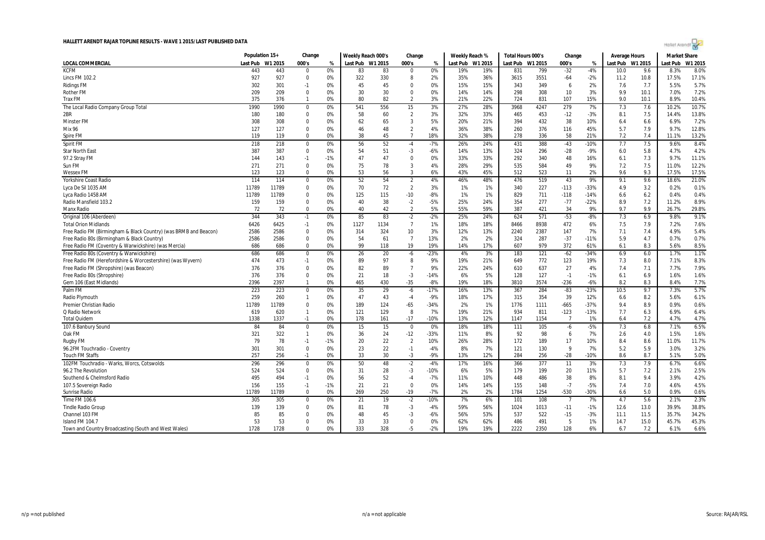

|                                                                  | Population 15+ |         | Change       |       | Weekly Reach 000's |      | Change         |        | Weekly Reach % |         | Total Hours 000's |         | Change         |        | Average Hours |         | <b>Market Share</b> |         |
|------------------------------------------------------------------|----------------|---------|--------------|-------|--------------------|------|----------------|--------|----------------|---------|-------------------|---------|----------------|--------|---------------|---------|---------------------|---------|
| <b>LOCAL COMMERCIAL</b>                                          | Last Pub       | W1 2015 | 000's        | %     | Last Pub W1 2015   |      | 000's          | %      | Last Pub       | W1 2015 | Last Pub          | W1 2015 | 000's          | %      | Last Pub      | W1 2015 | Last Pub            | W1 2015 |
| <b>KCFM</b>                                                      | 443            | 443     | $\Omega$     | 0%    | 83                 | 83   | $\Omega$       | 0%     | 19%            | 19%     | 831               | 799     | $-32$          | $-4%$  | 10.0          | 9.6     | 8.3%                | 8.0%    |
| <b>Lincs FM 102.2</b>                                            | 927            | 927     | $\mathbf 0$  | 0%    | 322                | 330  | 8              | 2%     | 35%            | 36%     | 3615              | 3551    | $-64$          | $-2%$  | 11.2          | 10.8    | 17.5%               | 17.1%   |
| <b>Ridings FM</b>                                                | 302            | 301     | $-1$         | 0%    | 45                 | 45   | $\Omega$       | 0%     | 15%            | 15%     | 343               | 349     | 6              | 2%     | 7.6           | 7.7     | 5.5%                | 5.7%    |
| <b>Rother FM</b>                                                 | 209            | 209     | $\Omega$     | 0%    | 30                 | 30   | $\Omega$       | 0%     | 14%            | 14%     | 298               | 308     | 10             | 3%     | 9.9           | 10.1    | 7.0%                | 7.2%    |
| <b>Trax FM</b>                                                   | 375            | 376     | $\mathbf{1}$ | 0%    | 80                 | 82   | $\overline{2}$ | 3%     | 21%            | 22%     | 724               | 831     | 107            | 15%    | 9.0           | 10.1    | 8.9%                | 10.4%   |
| The Local Radio Company Group Total                              | 1990           | 1990    | $\mathbf 0$  | 0%    | 541                | 556  | 15             | 3%     | 27%            | 28%     | 3968              | 4247    | 279            | 7%     | 7.3           | 7.6     | 10.2%               | 10.7%   |
| 2BR                                                              | 180            | 180     | $\mathbf 0$  | 0%    | 58                 | 60   | $\overline{2}$ | 3%     | 32%            | 33%     | 465               | 453     | $-12$          | $-3%$  | 8.1           | 7.5     | 14.4%               | 13.8%   |
| <b>Minster FM</b>                                                | 308            | 308     | $\Omega$     | 0%    | 62                 | 65   | $\overline{3}$ | 5%     | 20%            | 21%     | 394               | 432     | 38             | 10%    | 6.4           | 6.6     | 6.9%                | 7.2%    |
| Mix 96                                                           | 127            | 127     | 0            | 0%    | 46                 | 48   | $\overline{2}$ | 4%     | 36%            | 38%     | 260               | 376     | 116            | 45%    | 5.7           | 7.9     | 9.7%                | 12.8%   |
| Spire FM                                                         | 119            | 119     | $\Omega$     | 0%    | 38                 | 45   | $\overline{7}$ | 18%    | 32%            | 38%     | 278               | 336     | 58             | 21%    | 7.2           | 7.4     | 11.1%               | 13.2%   |
| Spirit FM                                                        | 218            | 218     | 0            | 0%    | 56                 | 52   | $-4$           | $-7%$  | 26%            | 24%     | 431               | 388     | $-43$          | $-10%$ | 7.7           | 7.5     | 9.6%                | 8.4%    |
| <b>Star North East</b>                                           | 387            | 387     | $\mathbf 0$  | 0%    | 54                 | 51   | $-3$           | $-6%$  | 14%            | 13%     | 324               | 296     | $-28$          | $-9%$  | 6.0           | 5.8     | 4.7%                | 4.2%    |
| 97.2 Stray FM                                                    | 144            | 143     | $-1$         | $-1%$ | 47                 | 47   | 0              | 0%     | 33%            | 33%     | 292               | 340     | 48             | 16%    | 6.1           | 7.3     | 9.7%                | 11.1%   |
| Sun FM                                                           | 271            | 271     | $\Omega$     | 0%    | 75                 | 78   | 3              | 4%     | 28%            | 29%     | 535               | 584     | 49             | 9%     | 7.2           | 7.5     | 11.0%               | 12.2%   |
| <b>Wessex FM</b>                                                 | 123            | 123     | $\mathbf 0$  | 0%    | 53                 | 56   | 3              | 6%     | 43%            | 45%     | 512               | 523     | 11             | 2%     | 9.6           | 9.3     | 17.5%               | 17.5%   |
| <b>Yorkshire Coast Radio</b>                                     | 114            | 114     | $\Omega$     | 0%    | 52                 | 54   | $\overline{2}$ | 4%     | 46%            | 48%     | 476               | 519     | 43             | 9%     | 9.1           | 9.6     | 18.6%               | 21.0%   |
| Lyca De Sil 1035 AM                                              | 11789          | 11789   | 0            | 0%    | 70                 | 72   | $\overline{2}$ | 3%     | 1%             | 1%      | 340               | 227     | $-113$         | $-33%$ | 4.9           | 3.2     | 0.2%                | 0.1%    |
| Lyca Radio 1458 AM                                               | 11789          | 11789   | 0            | 0%    | 125                | 115  | $-10$          | $-8%$  | 1%             | 1%      | 829               | 711     | $-118$         | $-14%$ | 6.6           | 6.2     | 0.4%                | 0.4%    |
| Radio Mansfield 103.2                                            | 159            | 159     | $\Omega$     | 0%    | 40                 | 38   | $-2$           | $-5%$  | 25%            | 24%     | 354               | 277     | $-77$          | $-22%$ | 8.9           | 7.2     | 11.2%               | 8.9%    |
| Manx Radio                                                       | 72             | 72      | $\Omega$     | 0%    | 40                 | 42   | $\overline{2}$ | 5%     | 55%            | 59%     | 387               | 421     | 34             | 9%     | 9.7           | 9.9     | 26.7%               | 29.8%   |
| Original 106 (Aberdeen)                                          | 344            | 343     | $-1$         | 0%    | 85                 | 83   | $-2$           | $-2%$  | 25%            | 24%     | 624               | 571     | $-53$          | $-8%$  | 7.3           | 6.9     | 9.8%                | 9.1%    |
| <b>Total Orion Midlands</b>                                      | 6426           | 6425    | $-1$         | 0%    | 1127               | 1134 | $\overline{7}$ | 1%     | 18%            | 18%     | 8466              | 8938    | 472            | 6%     | 7.5           | 7.9     | 7.2%                | 7.6%    |
| Free Radio FM (Birmingham & Black Country) (was BRMB and Beacon) | 2586           | 2586    | $\Omega$     | 0%    | 314                | 324  | 10             | 3%     | 12%            | 13%     | 2240              | 2387    | 147            | 7%     | 7.1           | 7.4     | 4.9%                | 5.4%    |
| Free Radio 80s (Birmingham & Black Country)                      | 2586           | 2586    | $\Omega$     | 0%    | 54                 | 61   | $\overline{7}$ | 13%    | 2%             | 2%      | 324               | 287     | $-37$          | $-11%$ | 5.9           | 4.7     | 0.7%                | 0.7%    |
| Free Radio FM (Coventry & Warwickshire) (was Mercia)             | 686            | 686     | $\Omega$     | 0%    | 99                 | 118  | 19             | 19%    | 14%            | 17%     | 607               | 979     | 372            | 61%    | 6.1           | 8.3     | 5.6%                | 8.5%    |
| Free Radio 80s (Coventry & Warwickshire)                         | 686            | 686     | $\Omega$     | 0%    | 26                 | 20   | -6             | $-23%$ | 4%             | 3%      | 183               | 121     | $-62$          | $-34%$ | 6.9           | 6.0     | 1.7%                | 1.1%    |
| Free Radio FM (Herefordshire & Worcestershire) (was Wyvern)      | 474            | 473     | $-1$         | 0%    | 89                 | 97   | 8              | 9%     | 19%            | 21%     | 649               | 772     | 123            | 19%    | 7.3           | 8.0     | 7.1%                | 8.3%    |
| Free Radio FM (Shropshire) (was Beacon)                          | 376            | 376     | $\Omega$     | 0%    | 82                 | 89   | $\overline{7}$ | 9%     | 22%            | 24%     | 610               | 637     | 27             | 4%     | 7.4           | 7.1     | 7.7%                | 7.9%    |
| Free Radio 80s (Shropshire)                                      | 376            | 376     | $\mathbf 0$  | 0%    | 21                 | 18   | $-3$           | $-14%$ | 6%             | 5%      | 128               | 127     | $-1$           | $-1%$  | 6.1           | 6.9     | 1.6%                | 1.6%    |
| Gem 106 (East Midlands)                                          | 2396           | 2397    | $\mathbf{1}$ | 0%    | 465                | 430  | $-35$          | $-8%$  | 19%            | 18%     | 3810              | 3574    | $-236$         | $-6%$  | 8.2           | 8.3     | 8.4%                | 7.7%    |
| Palm FM                                                          | 223            | 223     | $\mathbf 0$  | 0%    | 35                 | 29   | $-6$           | $-17%$ | 16%            | 13%     | 367               | 284     | $-83$          | $-23%$ | 10.5          | 9.7     | 7.3%                | 5.7%    |
| Radio Plymouth                                                   | 259            | 260     | $\mathbf{1}$ | 0%    | 47                 | 43   | $-4$           | $-9%$  | 18%            | 17%     | 315               | 354     | 39             | 12%    | 6.6           | 8.2     | 5.6%                | 6.1%    |
| Premier Christian Radio                                          | 11789          | 11789   | $\mathbf 0$  | 0%    | 189                | 124  | $-65$          | $-34%$ | 2%             | 1%      | 1776              | 1111    | $-665$         | $-37%$ | 9.4           | 8.9     | 0.9%                | 0.6%    |
| Q Radio Network                                                  | 619            | 620     | $\mathbf{1}$ | 0%    | 121                | 129  | 8              | 7%     | 19%            | 21%     | 934               | 811     | $-123$         | $-13%$ | 7.7           | 6.3     | 6.9%                | 6.4%    |
| <b>Total Quidem</b>                                              | 1338           | 1337    | $-1$         | 0%    | 178                | 161  | $-17$          | $-10%$ | 13%            | 12%     | 1147              | 1154    | $\overline{7}$ | 1%     | 6.4           | 7.2     | 4.7%                | 4.7%    |
| 107.6 Banbury Sound                                              | 84             | 84      | 0            | 0%    | 15                 | 15   | $\mathbf 0$    | 0%     | 18%            | 18%     | 111               | 105     | -6             | $-5%$  | 7.3           | 6.8     | 7.1%                | 6.5%    |
| Oak FM                                                           | 321            | 322     | $\mathbf{1}$ | 0%    | 36                 | 24   | $-12$          | $-33%$ | 11%            | 8%      | 92                | 98      | 6              | 7%     | 2.6           | 4.0     | 1.5%                | 1.6%    |
| Rugby FM                                                         | 79             | 78      | $-1$         | $-1%$ | 20                 | 22   | $\overline{2}$ | 10%    | 26%            | 28%     | 172               | 189     | 17             | 10%    | 8.4           | 8.6     | 11.0%               | 11.7%   |
| 96.2FM Touchradio - Coventry                                     | 301            | 301     | $\Omega$     | 0%    | 23                 | 22   | $-1$           | $-4%$  | 8%             | 7%      | 121               | 130     | 9              | 7%     | 5.2           | 5.9     | 3.0%                | 3.2%    |
| <b>Touch FM Staffs</b>                                           | 257            | 256     | $-1$         | 0%    | 33                 | 30   | $-3$           | $-9%$  | 13%            | 12%     | 284               | 256     | $-28$          | $-10%$ | 8.6           | 8.7     | 5.1%                | 5.0%    |
| 102FM Touchradio - Warks, Worcs, Cotswolds                       | 296            | 296     | $\Omega$     | 0%    | 50                 | 48   | $-2$           | $-4%$  | 17%            | 16%     | 366               | 377     | 11             | 3%     | 7.3           | 7.9     | 6.7%                | 6.6%    |
| 96.2 The Revolution                                              | 524            | 524     | 0            | 0%    | 31                 | 28   | $-3$           | $-10%$ | 6%             | 5%      | 179               | 199     | 20             | 11%    | 5.7           | 7.2     | 2.1%                | 2.5%    |
| Southend & Chelmsford Radio                                      | 495            | 494     | $-1$         | 0%    | 56                 | 52   | -4             | $-7%$  | 11%            | 10%     | 448               | 486     | 38             | 8%     | 8.1           | 9.4     | 3.9%                | 4.2%    |
| 107.5 Sovereign Radio                                            | 156            | 155     | $-1$         | $-1%$ | 21                 | 21   | $\Omega$       | 0%     | 14%            | 14%     | 155               | 148     | $-7$           | $-5%$  | 7.4           | 7.0     | 4.6%                | 4.5%    |
| Sunrise Radio                                                    | 11789          | 11789   | $\Omega$     | 0%    | 269                | 250  | $-19$          | $-7%$  | 2%             | 2%      | 1784              | 1254    | $-530$         | $-30%$ | 6.6           | 5.0     | 0.9%                | 0.6%    |
| Time FM 106.6                                                    | 305            | 305     | 0            | 0%    | 21                 | 19   | $-2$           | $-10%$ | 7%             | 6%      | 101               | 108     | -7             | 7%     | 4.7           | 5.6     | 2.1%                | 2.3%    |
| <b>Tindle Radio Group</b>                                        | 139            | 139     | $\Omega$     | 0%    | 81                 | 78   | $-3$           | $-4%$  | 59%            | 56%     | 1024              | 1013    | $-11$          | $-1%$  | 12.6          | 13.0    | 39.9%               | 38.8%   |
| Channel 103 FM                                                   | 85             | 85      | $\Omega$     | 0%    | 48                 | 45   | $-3$           | $-6%$  | 56%            | 53%     | 537               | 522     | $-15$          | $-3%$  | 11.1          | 11.5    | 35.7%               | 34.2%   |
| Island FM 104.7                                                  | 53             | 53      | $\Omega$     | 0%    | 33                 | 33   | $\Omega$       | 0%     | 62%            | 62%     | 486               | 491     | 5              | 1%     | 14.7          | 15.0    | 45.7%               | 45.3%   |
| Town and Country Broadcasting (South and West Wales)             | 1728           | 1728    | $\Omega$     | 0%    | 333                | 328  | $-5$           | $-2%$  | 19%            | 19%     | 2222              | 2350    | 128            | 6%     | 6.7           | 7.2     | 6.1%                | 6.6%    |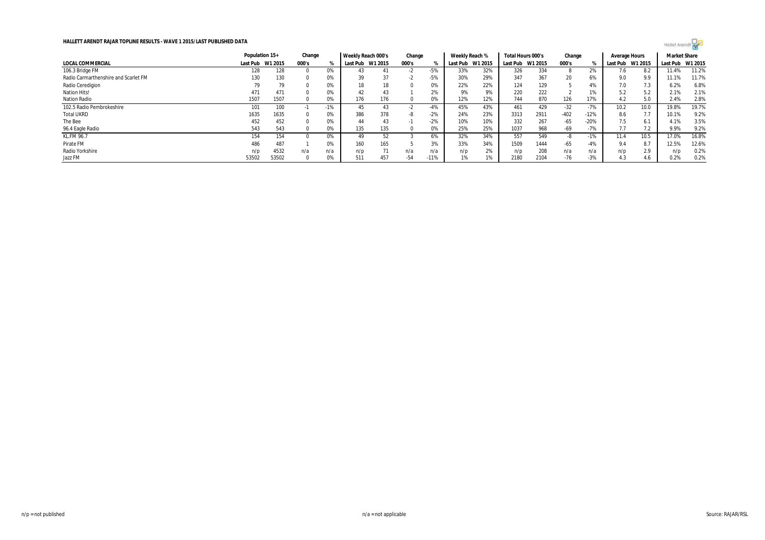

|                                      |                  | Population 15+ |          | Change | Weekly Reach 000's |         | Change |        | Weekly Reach % |         | Total Hours 000's |         | Change |        | Average Hours    |      | <b>Market Share</b> |       |
|--------------------------------------|------------------|----------------|----------|--------|--------------------|---------|--------|--------|----------------|---------|-------------------|---------|--------|--------|------------------|------|---------------------|-------|
| LOCAL COMMERCIAL                     | Last Pub W1 2015 |                | 000's    |        | Last Pub           | W1 2015 | 000's  |        | Last Pub       | W1 2015 | Last Pub          | W1 2015 | 000's  |        | Last Pub W1 2015 |      | Last Pub W1 2015    |       |
| 106.3 Bridge FM                      | 128              | 128            |          | 0%     | 43                 |         |        | -5%    | 33%            | 32%     | 326               | 334     | 8      | 2%     | 7.6              |      | 11.4%               | 11.2% |
| Radio Carmarthenshire and Scarlet FM | 130              | 130            |          | 0%     | 39                 | 37      |        | -5%    | 30%            | 29%     | 347               | 367     | 20     | 6%     | 9.0              | 9.9  | 11.1%               | 11.7% |
| Radio Ceredigion                     | 79               | 79             |          | 0%     | 18                 | 18      |        | 0%     | 22%            | 22%     | 124               | 129     |        | 4%     | 7.0              | 7.3  | 6.2%                | 6.8%  |
| <b>Nation Hits!</b>                  | 471              | 471            |          | 0%     | 42                 | 43      |        | 2%     | 9%             | 9%      | 220               | 222     |        | $1\%$  | 5.2              | 5.2  | 2.1%                | 2.1%  |
| <b>Nation Radio</b>                  | 1507             | 1507           |          | 0%     | 176                | 176     |        | 0%     | 12%            | 12%     | 744               | 870     | 126    | 17%    | 4.2              | 5.0  | 2.4%                | 2.8%  |
| 102.5 Radio Pembrokeshire            | 101              | 100            | $\sim$ 1 | $-1%$  | 45                 | 43      |        | $-4%$  | 45%            | 43%     | 461               | 429     | $-32$  | $-7%$  | 10.2             | 10.0 | 19.8%               | 19.7% |
| <b>Total UKRD</b>                    | 1635             | 1635           |          | 0%     | 386                | 378     |        | $-2%$  | 24%            | 23%     | 3313              | 2911    | $-402$ | $-12%$ | 8.6              | 7.7  | 10.1%               | 9.2%  |
| The Bee                              | 452              | 452            |          | 0%     | 44                 | 43      |        | $-2%$  | 10%            | 10%     | 332               | 267     | $-65$  | $-20%$ | 7.5              | 6.1  | 4.1%                | 3.5%  |
| 96.4 Eagle Radio                     | 543              | 543            |          | 0%     | 135                | 135     |        | 0%     | 25%            | 25%     | 1037              | 968     | -69    | $-7%$  | 7.7              |      | 9.9%                | 9.2%  |
| <b>KL.FM 96.7</b>                    | 154              | 154            |          | 0%     | 49                 | 52      |        | 6%     | 32%            | 34%     | 557               | 549     | -8     | $-1%$  | 11.4             | 10.5 | 17.0%               | 16.8% |
| Pirate FM                            | 486              | 487            |          | 0%     | 160                | 165     |        | 3%     | 33%            | 34%     | 1509              | 1444    | $-65$  | $-4%$  | 9.4              | 8.7  | 12.5%               | 12.6% |
| Radio Yorkshire                      | n/p              | 4532           | n/a      | n/a    | n/p                | 71      | n/a    | n/a    | n/p            | 2%      | n/p               | 208     | n/a    | n/a    | n/p              | 2.9  | n/p                 | 0.2%  |
| Jazz FM                              | 53502            | 53502          |          | 0%     | 511                | 457     | $-54$  | $-11%$ | 1%             | 1%      | 2180              | 2104    | $-76$  | $-3%$  | 4.3              | 4.6  | 0.2%                | 0.2%  |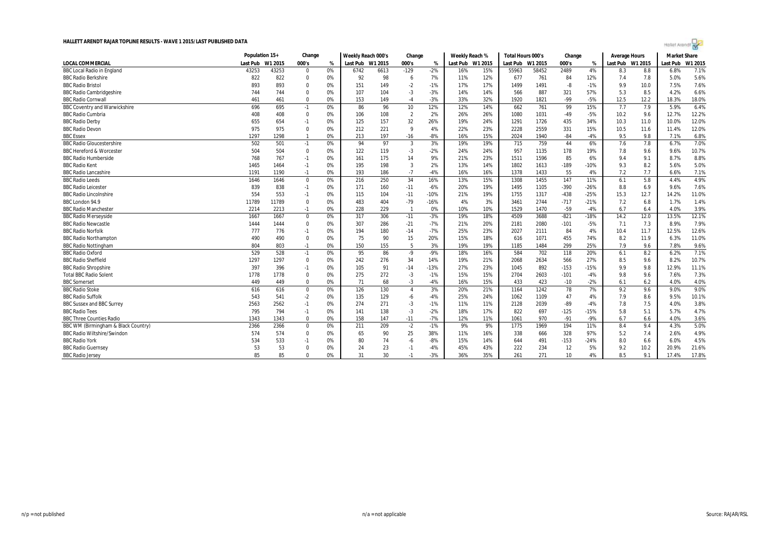

|                                      | Population 15+ |         | Change      |    | Weekly Reach 000's |      | Change          |        | Weekly Reach % |                  | Total Hours 000's |         | Change |        | Average Hours    |      | <b>Market Share</b> |         |
|--------------------------------------|----------------|---------|-------------|----|--------------------|------|-----------------|--------|----------------|------------------|-------------------|---------|--------|--------|------------------|------|---------------------|---------|
| <b>LOCAL COMMERCIAL</b>              | Last Pub       | W1 2015 | 000's       | %  | Last Pub W1 2015   |      | 000's           | %      |                | Last Pub W1 2015 | Last Pub          | W1 2015 | 000's  | %      | Last Pub W1 2015 |      | Last Pub            | W1 2015 |
| <b>BBC Local Radio in England</b>    | 43253          | 43253   | 0           | 0% | 6742               | 6613 | $-129$          | $-2%$  | 16%            | 15%              | 55963             | 58452   | 2489   | 4%     | 8.3              | 8.8  | 6.8%                | 7.1%    |
| <b>BBC Radio Berkshire</b>           | 822            | 822     | $\Omega$    | 0% | 92                 | 98   | 6               | 7%     | 11%            | 12%              | 677               | 761     | 84     | 12%    | 7.4              | 7.8  | 5.0%                | 5.6%    |
| <b>BBC Radio Bristol</b>             | 893            | 893     | $\Omega$    | 0% | 151                | 149  | $-2$            | $-1%$  | 17%            | 17%              | 1499              | 1491    | -8     | $-1%$  | 9.9              | 10.0 | 7.5%                | 7.6%    |
| <b>BBC Radio Cambridgeshire</b>      | 744            | 744     | $\mathbf 0$ | 0% | 107                | 104  | $-3$            | $-3%$  | 14%            | 14%              | 566               | 887     | 321    | 57%    | 5.3              | 8.5  | 4.2%                | 6.6%    |
| <b>BBC Radio Cornwall</b>            | 461            | 461     | $\Omega$    | 0% | 153                | 149  | $-4$            | $-3%$  | 33%            | 32%              | 1920              | 1821    | -99    | $-5%$  | 12.5             | 12.2 | 18.3%               | 18.0%   |
| <b>BBC Coventry and Warwickshire</b> | 696            | 695     | $-1$        | 0% | 86                 | 96   | 10 <sup>°</sup> | 12%    | 12%            | 14%              | 662               | 761     | 99     | 15%    | 7.7              | 7.9  | 5.9%                | 6.4%    |
| <b>BBC Radio Cumbria</b>             | 408            | 408     | $\mathbf 0$ | 0% | 106                | 108  | $\overline{2}$  | 2%     | 26%            | 26%              | 1080              | 1031    | -49    | -5%    | 10.2             | 9.6  | 12.7%               | 12.2%   |
| <b>BBC Radio Derby</b>               | 655            | 654     | $-1$        | 0% | 125                | 157  | 32              | 26%    | 19%            | 24%              | 1291              | 1726    | 435    | 34%    | 10.3             | 11.0 | 10.0%               | 12.0%   |
| <b>BBC Radio Devon</b>               | 975            | 975     | $\mathbf 0$ | 0% | 212                | 221  | 9               | 4%     | 22%            | 23%              | 2228              | 2559    | 331    | 15%    | 10.5             | 11.6 | 11.4%               | 12.0%   |
| <b>BBC Essex</b>                     | 1297           | 1298    |             | 0% | 213                | 197  | $-16$           | $-8%$  | 16%            | 15%              | 2024              | 1940    | $-84$  | $-4%$  | 9.5              | 9.8  | 7.1%                | 6.8%    |
| <b>BBC Radio Gloucestershire</b>     | 502            | 501     | $-1$        | 0% | 94                 | 97   | $\overline{3}$  | 3%     | 19%            | 19%              | 715               | 759     | 44     | 6%     | 7.6              | 7.8  | 6.7%                | 7.0%    |
| <b>BBC Hereford &amp; Worcester</b>  | 504            | 504     | $\Omega$    | 0% | 122                | 119  | $-3$            | $-2%$  | 24%            | 24%              | 957               | 1135    | 178    | 19%    | 7.8              | 9.6  | 9.6%                | 10.7%   |
| <b>BBC Radio Humberside</b>          | 768            | 767     | $-1$        | 0% | 161                | 175  | 14              | 9%     | 21%            | 23%              | 1511              | 1596    | 85     | 6%     | 9.4              | 9.1  | 8.7%                | 8.8%    |
| <b>BBC Radio Kent</b>                | 1465           | 1464    | $-1$        | 0% | 195                | 198  | 3               | 2%     | 13%            | 14%              | 1802              | 1613    | $-189$ | $-10%$ | 9.3              | 8.2  | 5.6%                | 5.0%    |
| <b>BBC Radio Lancashire</b>          | 1191           | 1190    | $-1$        | 0% | 193                | 186  | $-7$            | $-4%$  | 16%            | 16%              | 1378              | 1433    | 55     | 4%     | 7.2              | 7.7  | 6.6%                | 7.1%    |
| <b>BBC</b> Radio Leeds               | 1646           | 1646    | $\mathbf 0$ | 0% | 216                | 250  | 34              | 16%    | 13%            | 15%              | 1308              | 1455    | 147    | 11%    | 6.1              | 5.8  | 4.4%                | 4.9%    |
| <b>BBC Radio Leicester</b>           | 839            | 838     | $-1$        | 0% | 171                | 160  | $-11$           | $-6%$  | 20%            | 19%              | 1495              | 1105    | $-390$ | $-26%$ | 8.8              | 6.9  | 9.6%                | 7.6%    |
| <b>BBC Radio Lincolnshire</b>        | 554            | 553     | $-1$        | 0% | 115                | 104  | $-11$           | $-10%$ | 21%            | 19%              | 1755              | 1317    | $-438$ | $-25%$ | 15.3             | 12.7 | 14.2%               | 11.0%   |
| BBC London 94.9                      | 11789          | 11789   | $\Omega$    | 0% | 483                | 404  | $-79$           | $-16%$ | 4%             | 3%               | 3461              | 2744    | $-717$ | $-21%$ | 7.2              | 6.8  | 1.7%                | 1.4%    |
| <b>BBC Radio Manchester</b>          | 2214           | 2213    | $-1$        | 0% | 228                | 229  | $\overline{1}$  | 0%     | 10%            | 10%              | 1529              | 1470    | $-59$  | $-4%$  | 6.7              | 6.4  | 4.0%                | 3.9%    |
| <b>BBC Radio Merseyside</b>          | 1667           | 1667    | $\mathbf 0$ | 0% | 317                | 306  | $-11$           | $-3%$  | 19%            | 18%              | 4509              | 3688    | $-821$ | $-18%$ | 14.2             | 12.0 | 13.5%               | 12.1%   |
| <b>BBC Radio Newcastle</b>           | 1444           | 1444    | $\mathbf 0$ | 0% | 307                | 286  | $-21$           | $-7%$  | 21%            | 20%              | 2181              | 2080    | $-101$ | $-5%$  | 7.1              | 7.3  | 8.9%                | 7.9%    |
| <b>BBC Radio Norfolk</b>             | 777            | 776     | $-1$        | 0% | 194                | 180  | $-14$           | $-7%$  | 25%            | 23%              | 2027              | 2111    | 84     | 4%     | 10.4             | 11.7 | 12.5%               | 12.6%   |
| <b>BBC Radio Northampton</b>         | 490            | 490     | $\mathbf 0$ | 0% | 75                 | 90   | 15              | 20%    | 15%            | 18%              | 616               | 1071    | 455    | 74%    | 8.2              | 11.9 | 6.3%                | 11.0%   |
| <b>BBC Radio Nottingham</b>          | 804            | 803     | $-1$        | 0% | 150                | 155  | 5               | 3%     | 19%            | 19%              | 1185              | 1484    | 299    | 25%    | 7.9              | 9.6  | 7.8%                | 9.6%    |
| <b>BBC Radio Oxford</b>              | 529            | 528     | $-1$        | 0% | 95                 | 86   | -9              | $-9%$  | 18%            | 16%              | 584               | 702     | 118    | 20%    | 6.1              | 8.2  | 6.2%                | 7.1%    |
| <b>BBC Radio Sheffield</b>           | 1297           | 1297    | $\mathbf 0$ | 0% | 242                | 276  | 34              | 14%    | 19%            | 21%              | 2068              | 2634    | 566    | 27%    | 8.5              | 9.6  | 8.2%                | 10.7%   |
| <b>BBC Radio Shropshire</b>          | 397            | 396     | $-1$        | 0% | 105                | 91   | $-14$           | $-13%$ | 27%            | 23%              | 1045              | 892     | $-153$ | $-15%$ | 9.9              | 9.8  | 12.9%               | 11.1%   |
| <b>Total BBC Radio Solent</b>        | 1778           | 1778    | $\Omega$    | 0% | 275                | 272  | $-3$            | $-1%$  | 15%            | 15%              | 2704              | 2603    | $-101$ | $-4%$  | 9.8              | 9.6  | 7.6%                | 7.3%    |
| <b>BBC</b> Somerset                  | 449            | 449     | $\mathbf 0$ | 0% | 71                 | 68   | $-3$            | $-4%$  | 16%            | 15%              | 433               | 423     | $-10$  | $-2%$  | 6.1              | 6.2  | 4.0%                | 4.0%    |
| <b>BBC Radio Stoke</b>               | 616            | 616     | $\mathbf 0$ | 0% | 126                | 130  | $\overline{4}$  | 3%     | 20%            | 21%              | 1164              | 1242    | 78     | 7%     | 9.2              | 9.6  | 9.0%                | 9.0%    |
| <b>BBC Radio Suffolk</b>             | 543            | 541     | $-2$        | 0% | 135                | 129  | -6              | $-4%$  | 25%            | 24%              | 1062              | 1109    | 47     | 4%     | 7.9              | 8.6  | 9.5%                | 10.1%   |
| <b>BBC Sussex and BBC Surrey</b>     | 2563           | 2562    | $-1$        | 0% | 274                | 271  | $-3$            | $-1%$  | 11%            | 11%              | 2128              | 2039    | $-89$  | $-4%$  | 7.8              | 7.5  | 4.0%                | 3.8%    |
| <b>BBC Radio Tees</b>                | 795            | 794     | $-1$        | 0% | 141                | 138  | $-3$            | $-2%$  | 18%            | 17%              | 822               | 697     | $-125$ | $-15%$ | 5.8              | 5.1  | 5.7%                | 4.7%    |
| <b>BBC Three Counties Radio</b>      | 1343           | 1343    | $\mathbf 0$ | 0% | 158                | 147  | $-11$           | $-7%$  | 12%            | 11%              | 1061              | 970     | $-91$  | $-9%$  | 6.7              | 6.6  | 4.0%                | 3.6%    |
| BBC WM (Birmingham & Black Country)  | 2366           | 2366    | $\mathbf 0$ | 0% | 211                | 209  | $-2$            | $-1%$  | 9%             | 9%               | 1775              | 1969    | 194    | 11%    | 8.4              | 9.4  | 4.3%                | 5.0%    |
| <b>BBC Radio Wiltshire/Swindon</b>   | 574            | 574     | $\mathbf 0$ | 0% | 65                 | 90   | 25              | 38%    | 11%            | 16%              | 338               | 666     | 328    | 97%    | 5.2              | 7.4  | 2.6%                | 4.9%    |
| <b>BBC Radio York</b>                | 534            | 533     | $-1$        | 0% | 80                 | 74   | -6              | $-8%$  | 15%            | 14%              | 644               | 491     | $-153$ | $-24%$ | 8.0              | 6.6  | 6.0%                | 4.5%    |
| <b>BBC Radio Guernsey</b>            | 53             | 53      | $\Omega$    | 0% | 24                 | 23   | $-1$            | $-4%$  | 45%            | 43%              | 222               | 234     | 12     | 5%     | 9.2              | 10.2 | 20.9%               | 21.6%   |
| <b>BBC Radio Jersey</b>              | 85             | 85      | $\Omega$    | 0% | 31                 | 30   | $-1$            | $-3%$  | 36%            | 35%              | 261               | 271     | 10     | 4%     | 8.5              | 9.1  | 17.4%               | 17.8%   |